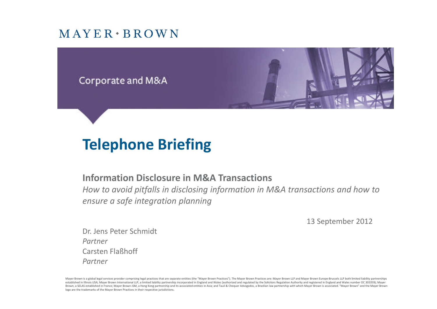#### $MAYER*BROWN$



# **Telephone Briefing**

#### **Information Disclosure in M&A Transactions**

*How to avoid pitfalls in disclosing information in M&A transactions and how to ensure a safe integration planning*

13 September 2012

Dr. Jens Peter Schmidt *Partner* Carsten Flaßhoff *Partner*

Mayer Brown is a global legal services provider comprising legal practices that are separate entities (the "Mayer Brown Practices"). The Mayer Brown Practices are: Mayer Brown LLP and Mayer Brown Europe-Brussels LLP both l established in Illinois USA; Mayer Brown International LLP, a limited liability partnership incorporated in England and Wales (authorized and regulated by the Solicitors Regulation Authority and registered in England and W Brown, a SELAS established in France; Mayer Brown JSM, a Hong Kong partnership and its associated entities in Asia; and Tauil & Chequer Advogados, a Brazilian law partnership with which Mayer Brown is associated. "Mayer Br logo are the trademarks of the Mayer Brown Practices in their respective jurisdictions.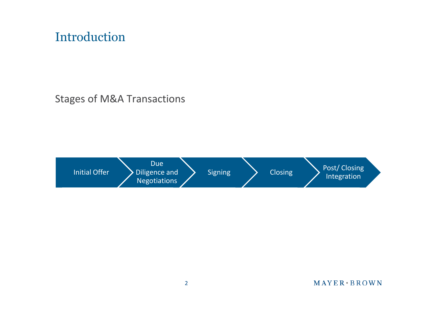## Introduction

Stages of M&A Transactions

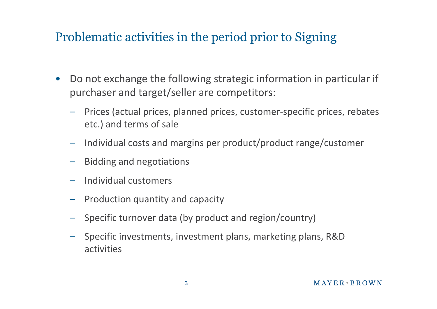## Problematic activities in the period prior to Signing

- Do not exchange the following strategic information in particular if purchaser and target/seller are competitors:
	- Prices (actual prices, planned prices, customer-specific prices, rebates etc.) and terms of sale
	- Individual costs and margins per product/product range/customer
	- Bidding and negotiations
	- Individual customers
	- Production quantity and capacity
	- Specific turnover data (by product and region/country)
	- Specific investments, investment plans, marketing plans, R&D activities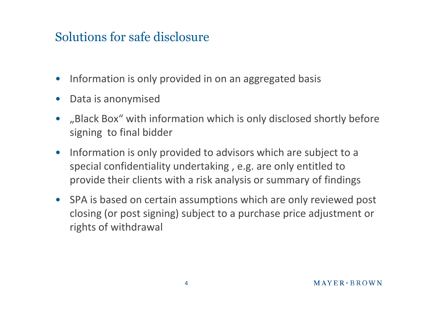## Solutions for safe disclosure

- Information is only provided in on an aggregated basis
- Data is anonymised
- "Black Box" with information which is only disclosed shortly before signing to final bidder
- Information is only provided to advisors which are subject to a special confidentiality undertaking , e.g. are only entitled to provide their clients with a risk analysis or summary of findings
- SPA is based on certain assumptions which are only reviewed post closing (or post signing) subject to a purchase price adjustment or rights of withdrawal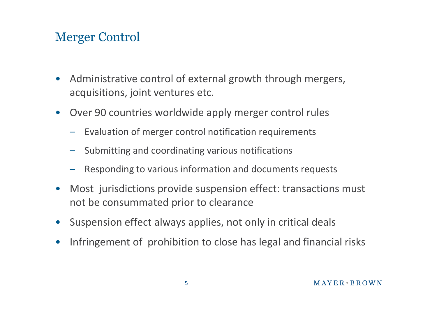## Merger Control

- Administrative control of external growth through mergers, acquisitions, joint ventures etc.
- Over 90 countries worldwide apply merger control rules
	- Evaluation of merger control notification requirements
	- Submitting and coordinating various notifications
	- Responding to various information and documents requests
- Most jurisdictions provide suspension effect: transactions must not be consummated prior to clearance
- Suspension effect always applies, not only in critical deals
- Infringement of prohibition to close has legal and financial risks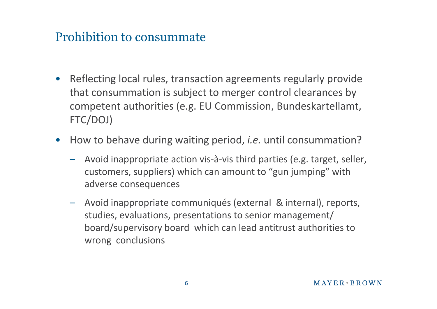### Prohibition to consummate

- Reflecting local rules, transaction agreements regularly provide that consummation is subject to merger control clearances by competent authorities (e.g. EU Commission, Bundeskartellamt, FTC/DOJ)
- How to behave during waiting period, *i.e.* until consummation?
	- Avoid inappropriate action vis-à-vis third parties (e.g. target, seller, customers, suppliers) which can amount to "gun jumping" with adverse consequences
	- Avoid inappropriate communiqués (external & internal), reports, studies, evaluations, presentations to senior management/ board/supervisory board which can lead antitrust authorities to wrong conclusions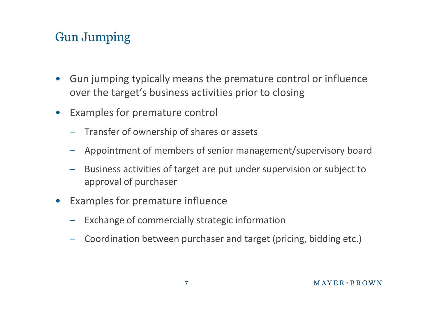## Gun Jumping

- Gun jumping typically means the premature control or influence over the target's business activities prior to closing
- Examples for premature control
	- Transfer of ownership of shares or assets
	- Appointment of members of senior management/supervisory board
	- Business activities of target are put under supervision or subject to approval of purchaser
- Examples for premature influence
	- Exchange of commercially strategic information
	- Coordination between purchaser and target (pricing, bidding etc.)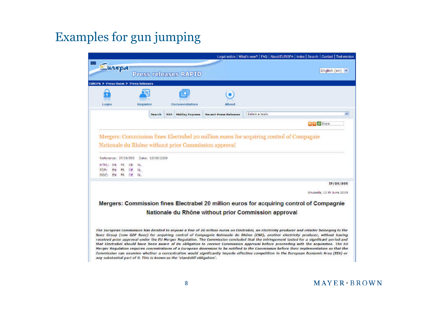## Examples for gun jumping

|                            |     |                                      |                  |                              |                       | Legal notice   What's new?   FAQ   About EUROPA   index   Search   Contact   Ted version |                                                                                                                                                                                                                                                                                                                                                                                                                                                                                                                                                                                                                                                                                                                                                                                                                                                                      |  |
|----------------------------|-----|--------------------------------------|------------------|------------------------------|-----------------------|------------------------------------------------------------------------------------------|----------------------------------------------------------------------------------------------------------------------------------------------------------------------------------------------------------------------------------------------------------------------------------------------------------------------------------------------------------------------------------------------------------------------------------------------------------------------------------------------------------------------------------------------------------------------------------------------------------------------------------------------------------------------------------------------------------------------------------------------------------------------------------------------------------------------------------------------------------------------|--|
| Europa                     |     |                                      |                  | <b>Press releases RAPID</b>  |                       |                                                                                          | English (en)                                                                                                                                                                                                                                                                                                                                                                                                                                                                                                                                                                                                                                                                                                                                                                                                                                                         |  |
|                            |     | EUROPA > Press Room > Press Releases |                  |                              |                       |                                                                                          |                                                                                                                                                                                                                                                                                                                                                                                                                                                                                                                                                                                                                                                                                                                                                                                                                                                                      |  |
|                            |     |                                      |                  |                              |                       |                                                                                          |                                                                                                                                                                                                                                                                                                                                                                                                                                                                                                                                                                                                                                                                                                                                                                                                                                                                      |  |
|                            |     |                                      |                  |                              |                       |                                                                                          |                                                                                                                                                                                                                                                                                                                                                                                                                                                                                                                                                                                                                                                                                                                                                                                                                                                                      |  |
| Login                      |     | Register                             |                  | Documentation                | About                 |                                                                                          |                                                                                                                                                                                                                                                                                                                                                                                                                                                                                                                                                                                                                                                                                                                                                                                                                                                                      |  |
|                            |     |                                      | Swarch           | <b>Midday Express</b><br>855 | Recent Press Releases | Select a topic                                                                           | $\sim$                                                                                                                                                                                                                                                                                                                                                                                                                                                                                                                                                                                                                                                                                                                                                                                                                                                               |  |
|                            |     |                                      |                  |                              |                       |                                                                                          | All C. Share                                                                                                                                                                                                                                                                                                                                                                                                                                                                                                                                                                                                                                                                                                                                                                                                                                                         |  |
|                            |     |                                      |                  |                              |                       |                                                                                          |                                                                                                                                                                                                                                                                                                                                                                                                                                                                                                                                                                                                                                                                                                                                                                                                                                                                      |  |
| Reference: IP/09/895<br>EN | FR. | DE<br>NL.                            | Date: 10/06/2009 |                              |                       |                                                                                          |                                                                                                                                                                                                                                                                                                                                                                                                                                                                                                                                                                                                                                                                                                                                                                                                                                                                      |  |
| <b>HTML:</b>               |     |                                      |                  |                              |                       |                                                                                          |                                                                                                                                                                                                                                                                                                                                                                                                                                                                                                                                                                                                                                                                                                                                                                                                                                                                      |  |
| EN<br>PDF:<br>DOC:<br>EM   | FR. | DE.<br>NL.<br>FR DE NU               |                  |                              |                       |                                                                                          |                                                                                                                                                                                                                                                                                                                                                                                                                                                                                                                                                                                                                                                                                                                                                                                                                                                                      |  |
|                            |     |                                      |                  |                              |                       |                                                                                          | IP/09/895                                                                                                                                                                                                                                                                                                                                                                                                                                                                                                                                                                                                                                                                                                                                                                                                                                                            |  |
|                            |     |                                      |                  |                              |                       |                                                                                          | Erussels, 10 th June 2009                                                                                                                                                                                                                                                                                                                                                                                                                                                                                                                                                                                                                                                                                                                                                                                                                                            |  |
|                            |     |                                      |                  |                              |                       |                                                                                          |                                                                                                                                                                                                                                                                                                                                                                                                                                                                                                                                                                                                                                                                                                                                                                                                                                                                      |  |
|                            |     |                                      |                  |                              |                       |                                                                                          | Mergers: Commission fines Electrabel 20 million euros for acquiring control of Compagnie                                                                                                                                                                                                                                                                                                                                                                                                                                                                                                                                                                                                                                                                                                                                                                             |  |
|                            |     |                                      |                  |                              |                       | Nationale du Rhône without prior Commission approval                                     |                                                                                                                                                                                                                                                                                                                                                                                                                                                                                                                                                                                                                                                                                                                                                                                                                                                                      |  |
|                            |     |                                      |                  |                              |                       |                                                                                          |                                                                                                                                                                                                                                                                                                                                                                                                                                                                                                                                                                                                                                                                                                                                                                                                                                                                      |  |
|                            |     |                                      |                  |                              |                       |                                                                                          | The European Commission has decided to impose a fine of 20 million euros on Electrabel, an electricity producer and retailer belonging to the<br>Suez Group (now GDF Suez) for acquiring control of Compagnie Nationale du Rhône (CNR), another electricity producer, without having<br>received prior approval under the EU Merger Regulation. The Commission concluded that the infringement lasted for a significant period and<br>that Electrabel should have been aware of its obligation to receive Commission approval before proceeding with the acquisition. The EU<br>Merger Requiation requires concentrations of a European dimension to be notified to the Commission before their implementation so that the<br>Commission can examine whether a concentration would significantly impede effective competition in the European Economic Area (EEA) or |  |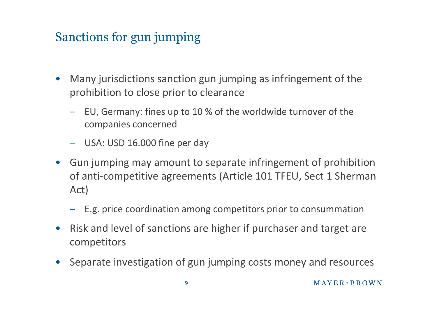## Sanctions for gun jumping

- Many jurisdictions sanction gun jumping as infringement of the prohibition to close prior to clearance
	- EU, Germany: fines up to 10 % of the worldwide turnover of the companies concerned
	- USA: USD 16.000 fine per day
- Gun jumping may amount to separate infringement of prohibition of anti-competitive agreements (Article 101 TFEU, Sect 1 Sherman Act)
	- E.g. price coordination among competitors prior to consummation
- Risk and level of sanctions are higher if purchaser and target are competitors
- Separate investigation of gun jumping costs money and resources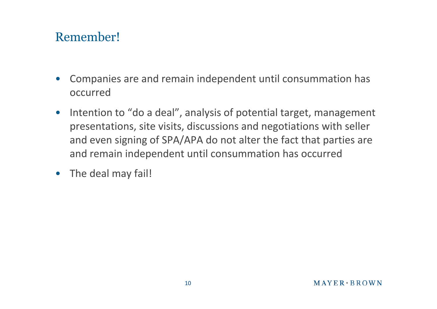## Remember!

- Companies are and remain independent until consummation has occurred
- Intention to "do a deal", analysis of potential target, management presentations, site visits, discussions and negotiations with seller and even signing of SPA/APA do not alter the fact that parties are and remain independent until consummation has occurred
- The deal may fail!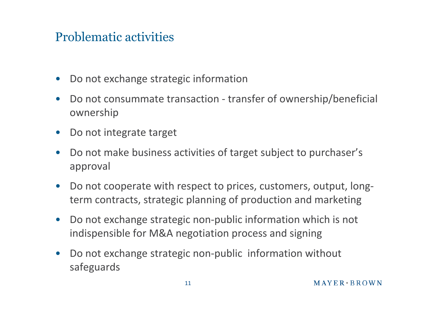## Problematic activities

- Do not exchange strategic information
- Do not consummate transaction transfer of ownership/beneficial ownership
- Do not integrate target
- Do not make business activities of target subject to purchaser's approval
- Do not cooperate with respect to prices, customers, output, longterm contracts, strategic planning of production and marketing
- Do not exchange strategic non-public information which is not indispensible for M&A negotiation process and signing
- Do not exchange strategic non-public information without safeguards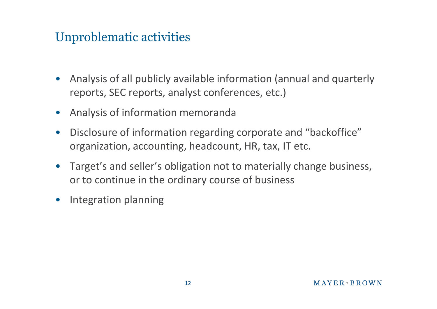## Unproblematic activities

- Analysis of all publicly available information (annual and quarterly reports, SEC reports, analyst conferences, etc.)
- Analysis of information memoranda
- Disclosure of information regarding corporate and "backoffice" organization, accounting, headcount, HR, tax, IT etc.
- Target's and seller's obligation not to materially change business, or to continue in the ordinary course of business
- Integration planning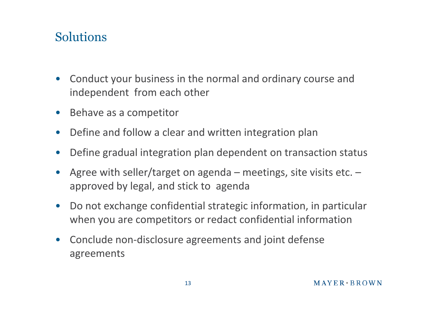## Solutions

- Conduct your business in the normal and ordinary course and independent from each other
- Behave as a competitor
- Define and follow a clear and written integration plan
- Define gradual integration plan dependent on transaction status
- Agree with seller/target on agenda meetings, site visits etc.  $$ approved by legal, and stick to agenda
- Do not exchange confidential strategic information, in particular when you are competitors or redact confidential information
- Conclude non-disclosure agreements and joint defense agreements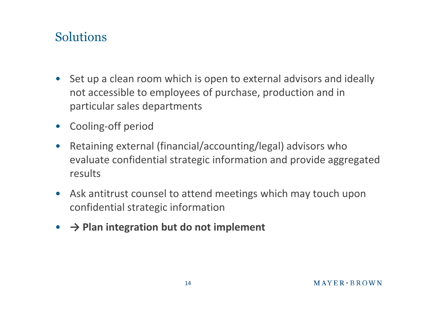## Solutions

- Set up a clean room which is open to external advisors and ideally not accessible to employees of purchase, production and in particular sales departments
- Cooling-off period
- Retaining external (financial/accounting/legal) advisors who evaluate confidential strategic information and provide aggregated results
- Ask antitrust counsel to attend meetings which may touch upon confidential strategic information
- **→ Plan integration but do not implement**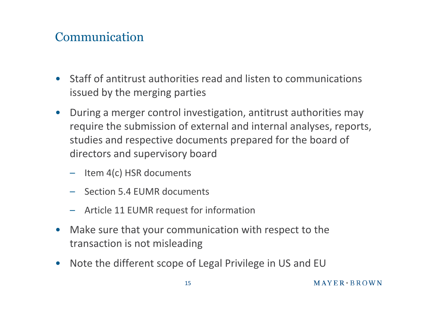## Communication

- Staff of antitrust authorities read and listen to communications issued by the merging parties
- During a merger control investigation, antitrust authorities may require the submission of external and internal analyses, reports, studies and respective documents prepared for the board of directors and supervisory board
	- Item 4(c) HSR documents
	- Section 5.4 EUMR documents
	- Article 11 EUMR request for information
- Make sure that your communication with respect to the transaction is not misleading
- Note the different scope of Legal Privilege in US and EU